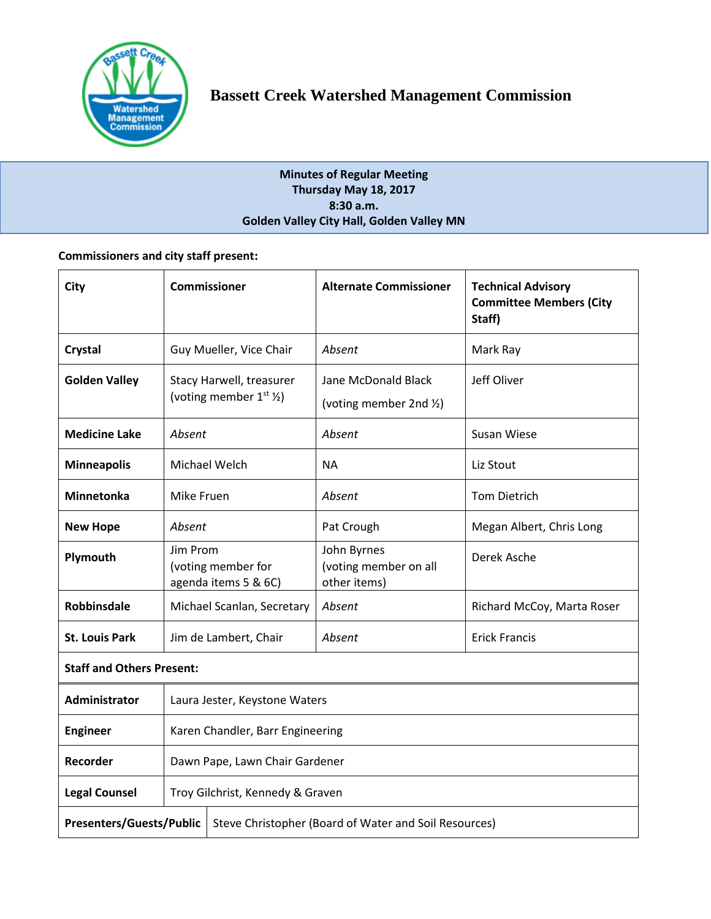

# **Minutes of Regular Meeting Thursday May 18, 2017 8:30 a.m. Golden Valley City Hall, Golden Valley MN**

# **Commissioners and city staff present:**

| City                             | <b>Commissioner</b>                                                 |                                                       | <b>Alternate Commissioner</b>                        | <b>Technical Advisory</b><br><b>Committee Members (City</b><br>Staff) |  |
|----------------------------------|---------------------------------------------------------------------|-------------------------------------------------------|------------------------------------------------------|-----------------------------------------------------------------------|--|
| Crystal                          | Guy Mueller, Vice Chair                                             |                                                       | Absent                                               | Mark Ray                                                              |  |
| <b>Golden Valley</b>             | Stacy Harwell, treasurer<br>(voting member $1^{st}$ $\frac{1}{2}$ ) |                                                       | Jane McDonald Black<br>(voting member 2nd 1/2)       | Jeff Oliver                                                           |  |
| <b>Medicine Lake</b>             | Absent                                                              |                                                       | Absent                                               | Susan Wiese                                                           |  |
| <b>Minneapolis</b>               | Michael Welch                                                       |                                                       | <b>NA</b>                                            | Liz Stout                                                             |  |
| Minnetonka                       | Mike Fruen                                                          |                                                       | Absent                                               | <b>Tom Dietrich</b>                                                   |  |
| <b>New Hope</b>                  | Absent                                                              |                                                       | Pat Crough                                           | Megan Albert, Chris Long                                              |  |
| Plymouth                         | Jim Prom<br>(voting member for<br>agenda items 5 & 6C)              |                                                       | John Byrnes<br>(voting member on all<br>other items) | Derek Asche                                                           |  |
| <b>Robbinsdale</b>               | Michael Scanlan, Secretary                                          |                                                       | Absent                                               | Richard McCoy, Marta Roser                                            |  |
| <b>St. Louis Park</b>            | Jim de Lambert, Chair                                               |                                                       | Absent                                               | <b>Erick Francis</b>                                                  |  |
| <b>Staff and Others Present:</b> |                                                                     |                                                       |                                                      |                                                                       |  |
| Administrator                    | Laura Jester, Keystone Waters                                       |                                                       |                                                      |                                                                       |  |
| <b>Engineer</b>                  | Karen Chandler, Barr Engineering                                    |                                                       |                                                      |                                                                       |  |
| Recorder                         | Dawn Pape, Lawn Chair Gardener                                      |                                                       |                                                      |                                                                       |  |
| <b>Legal Counsel</b>             | Troy Gilchrist, Kennedy & Graven                                    |                                                       |                                                      |                                                                       |  |
| <b>Presenters/Guests/Public</b>  |                                                                     | Steve Christopher (Board of Water and Soil Resources) |                                                      |                                                                       |  |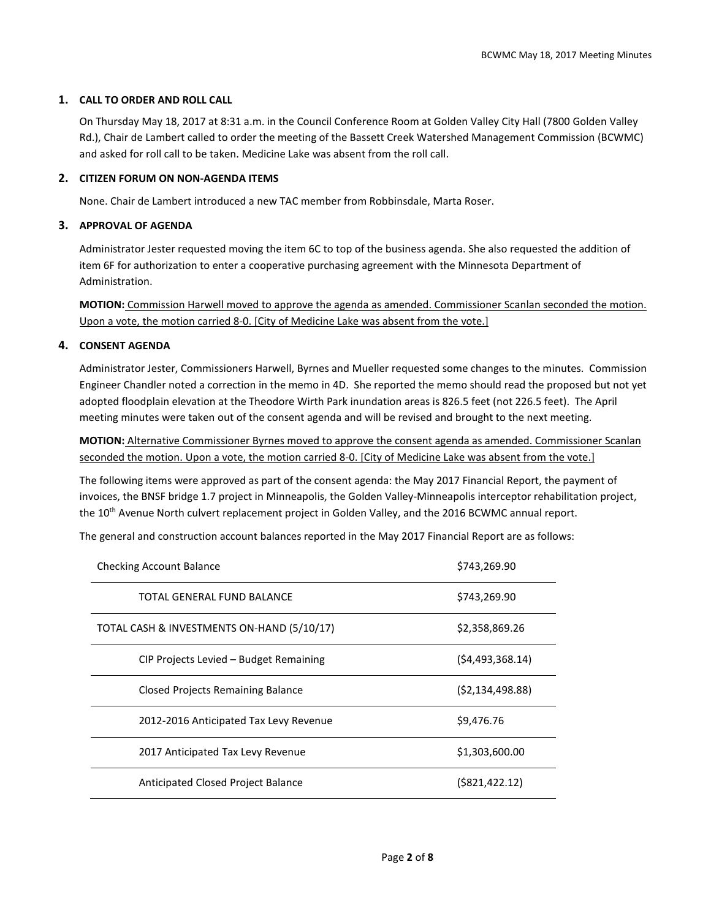# **1. CALL TO ORDER AND ROLL CALL**

On Thursday May 18, 2017 at 8:31 a.m. in the Council Conference Room at Golden Valley City Hall (7800 Golden Valley Rd.), Chair de Lambert called to order the meeting of the Bassett Creek Watershed Management Commission (BCWMC) and asked for roll call to be taken. Medicine Lake was absent from the roll call.

## **2. CITIZEN FORUM ON NON-AGENDA ITEMS**

None. Chair de Lambert introduced a new TAC member from Robbinsdale, Marta Roser.

# **3. APPROVAL OF AGENDA**

Administrator Jester requested moving the item 6C to top of the business agenda. She also requested the addition of item 6F for authorization to enter a cooperative purchasing agreement with the Minnesota Department of Administration.

**MOTION:** Commission Harwell moved to approve the agenda as amended. Commissioner Scanlan seconded the motion. Upon a vote, the motion carried 8-0. [City of Medicine Lake was absent from the vote.]

# **4. CONSENT AGENDA**

Administrator Jester, Commissioners Harwell, Byrnes and Mueller requested some changes to the minutes. Commission Engineer Chandler noted a correction in the memo in 4D. She reported the memo should read the proposed but not yet adopted floodplain elevation at the Theodore Wirth Park inundation areas is 826.5 feet (not 226.5 feet). The April meeting minutes were taken out of the consent agenda and will be revised and brought to the next meeting.

**MOTION:** Alternative Commissioner Byrnes moved to approve the consent agenda as amended. Commissioner Scanlan seconded the motion. Upon a vote, the motion carried 8-0. [City of Medicine Lake was absent from the vote.]

The following items were approved as part of the consent agenda: the May 2017 Financial Report, the payment of invoices, the BNSF bridge 1.7 project in Minneapolis, the Golden Valley-Minneapolis interceptor rehabilitation project, the 10<sup>th</sup> Avenue North culvert replacement project in Golden Valley, and the 2016 BCWMC annual report.

The general and construction account balances reported in the May 2017 Financial Report are as follows:

| <b>Checking Account Balance</b>            | \$743,269.90       |
|--------------------------------------------|--------------------|
| TOTAL GENERAL FUND BALANCE                 | \$743,269.90       |
| TOTAL CASH & INVESTMENTS ON-HAND (5/10/17) | \$2,358,869.26     |
| CIP Projects Levied - Budget Remaining     | (54, 493, 368, 14) |
| Closed Projects Remaining Balance          | (52, 134, 498.88)  |
| 2012-2016 Anticipated Tax Levy Revenue     | \$9,476.76         |
| 2017 Anticipated Tax Levy Revenue          | \$1,303,600.00     |
| Anticipated Closed Project Balance         | $($ \$821,422.12)  |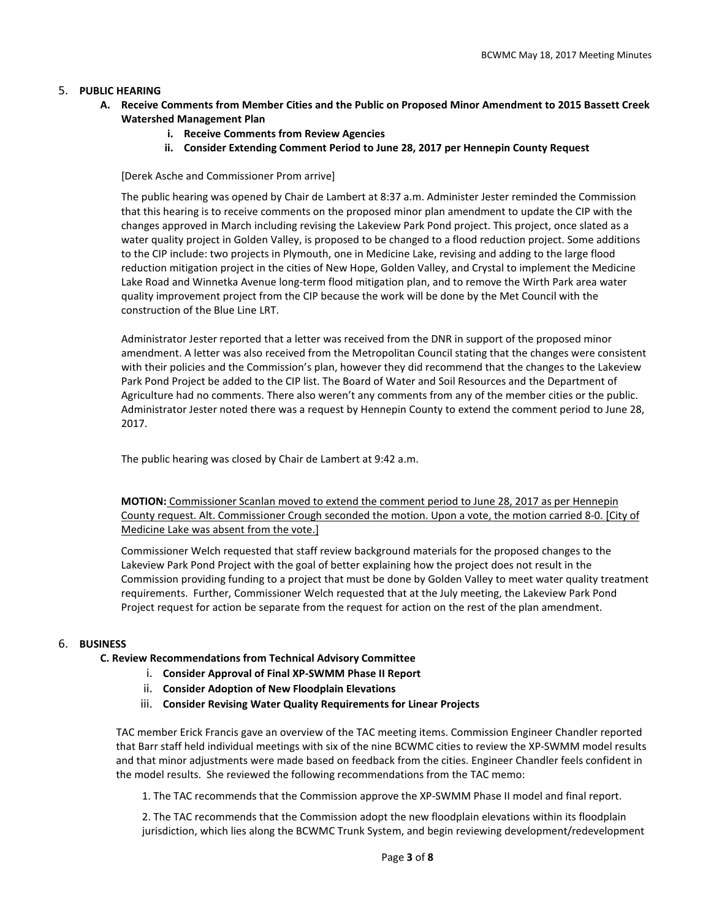# 5. **PUBLIC HEARING**

- **A. Receive Comments from Member Cities and the Public on Proposed Minor Amendment to 2015 Bassett Creek Watershed Management Plan**
	- **i. Receive Comments from Review Agencies**
	- **ii. Consider Extending Comment Period to June 28, 2017 per Hennepin County Request**

[Derek Asche and Commissioner Prom arrive]

The public hearing was opened by Chair de Lambert at 8:37 a.m. Administer Jester reminded the Commission that this hearing is to receive comments on the proposed minor plan amendment to update the CIP with the changes approved in March including revising the Lakeview Park Pond project. This project, once slated as a water quality project in Golden Valley, is proposed to be changed to a flood reduction project. Some additions to the CIP include: two projects in Plymouth, one in Medicine Lake, revising and adding to the large flood reduction mitigation project in the cities of New Hope, Golden Valley, and Crystal to implement the Medicine Lake Road and Winnetka Avenue long-term flood mitigation plan, and to remove the Wirth Park area water quality improvement project from the CIP because the work will be done by the Met Council with the construction of the Blue Line LRT.

Administrator Jester reported that a letter was received from the DNR in support of the proposed minor amendment. A letter was also received from the Metropolitan Council stating that the changes were consistent with their policies and the Commission's plan, however they did recommend that the changes to the Lakeview Park Pond Project be added to the CIP list. The Board of Water and Soil Resources and the Department of Agriculture had no comments. There also weren't any comments from any of the member cities or the public. Administrator Jester noted there was a request by Hennepin County to extend the comment period to June 28, 2017.

The public hearing was closed by Chair de Lambert at 9:42 a.m.

**MOTION:** Commissioner Scanlan moved to extend the comment period to June 28, 2017 as per Hennepin County request. Alt. Commissioner Crough seconded the motion. Upon a vote, the motion carried 8-0. [City of Medicine Lake was absent from the vote.]

Commissioner Welch requested that staff review background materials for the proposed changes to the Lakeview Park Pond Project with the goal of better explaining how the project does not result in the Commission providing funding to a project that must be done by Golden Valley to meet water quality treatment requirements. Further, Commissioner Welch requested that at the July meeting, the Lakeview Park Pond Project request for action be separate from the request for action on the rest of the plan amendment.

# 6. **BUSINESS**

**C. Review Recommendations from Technical Advisory Committee** 

- i. **Consider Approval of Final XP-SWMM Phase II Report**
- ii. **Consider Adoption of New Floodplain Elevations**
- iii. **Consider Revising Water Quality Requirements for Linear Projects**

 TAC member Erick Francis gave an overview of the TAC meeting items. Commission Engineer Chandler reported that Barr staff held individual meetings with six of the nine BCWMC cities to review the XP-SWMM model results and that minor adjustments were made based on feedback from the cities. Engineer Chandler feels confident in the model results. She reviewed the following recommendations from the TAC memo:

1. The TAC recommends that the Commission approve the XP-SWMM Phase II model and final report.

2. The TAC recommends that the Commission adopt the new floodplain elevations within its floodplain jurisdiction, which lies along the BCWMC Trunk System, and begin reviewing development/redevelopment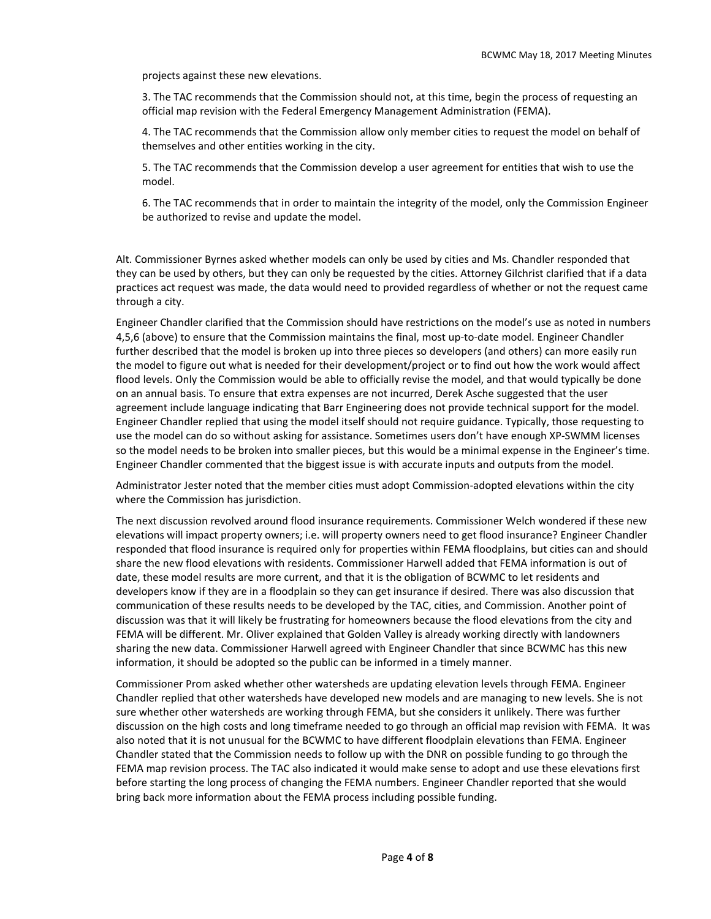projects against these new elevations.

3. The TAC recommends that the Commission should not, at this time, begin the process of requesting an official map revision with the Federal Emergency Management Administration (FEMA).

4. The TAC recommends that the Commission allow only member cities to request the model on behalf of themselves and other entities working in the city.

5. The TAC recommends that the Commission develop a user agreement for entities that wish to use the model.

6. The TAC recommends that in order to maintain the integrity of the model, only the Commission Engineer be authorized to revise and update the model.

Alt. Commissioner Byrnes asked whether models can only be used by cities and Ms. Chandler responded that they can be used by others, but they can only be requested by the cities. Attorney Gilchrist clarified that if a data practices act request was made, the data would need to provided regardless of whether or not the request came through a city.

Engineer Chandler clarified that the Commission should have restrictions on the model's use as noted in numbers 4,5,6 (above) to ensure that the Commission maintains the final, most up-to-date model. Engineer Chandler further described that the model is broken up into three pieces so developers (and others) can more easily run the model to figure out what is needed for their development/project or to find out how the work would affect flood levels. Only the Commission would be able to officially revise the model, and that would typically be done on an annual basis. To ensure that extra expenses are not incurred, Derek Asche suggested that the user agreement include language indicating that Barr Engineering does not provide technical support for the model. Engineer Chandler replied that using the model itself should not require guidance. Typically, those requesting to use the model can do so without asking for assistance. Sometimes users don't have enough XP-SWMM licenses so the model needs to be broken into smaller pieces, but this would be a minimal expense in the Engineer's time. Engineer Chandler commented that the biggest issue is with accurate inputs and outputs from the model.

Administrator Jester noted that the member cities must adopt Commission-adopted elevations within the city where the Commission has jurisdiction.

The next discussion revolved around flood insurance requirements. Commissioner Welch wondered if these new elevations will impact property owners; i.e. will property owners need to get flood insurance? Engineer Chandler responded that flood insurance is required only for properties within FEMA floodplains, but cities can and should share the new flood elevations with residents. Commissioner Harwell added that FEMA information is out of date, these model results are more current, and that it is the obligation of BCWMC to let residents and developers know if they are in a floodplain so they can get insurance if desired. There was also discussion that communication of these results needs to be developed by the TAC, cities, and Commission. Another point of discussion was that it will likely be frustrating for homeowners because the flood elevations from the city and FEMA will be different. Mr. Oliver explained that Golden Valley is already working directly with landowners sharing the new data. Commissioner Harwell agreed with Engineer Chandler that since BCWMC has this new information, it should be adopted so the public can be informed in a timely manner.

Commissioner Prom asked whether other watersheds are updating elevation levels through FEMA. Engineer Chandler replied that other watersheds have developed new models and are managing to new levels. She is not sure whether other watersheds are working through FEMA, but she considers it unlikely. There was further discussion on the high costs and long timeframe needed to go through an official map revision with FEMA. It was also noted that it is not unusual for the BCWMC to have different floodplain elevations than FEMA. Engineer Chandler stated that the Commission needs to follow up with the DNR on possible funding to go through the FEMA map revision process. The TAC also indicated it would make sense to adopt and use these elevations first before starting the long process of changing the FEMA numbers. Engineer Chandler reported that she would bring back more information about the FEMA process including possible funding.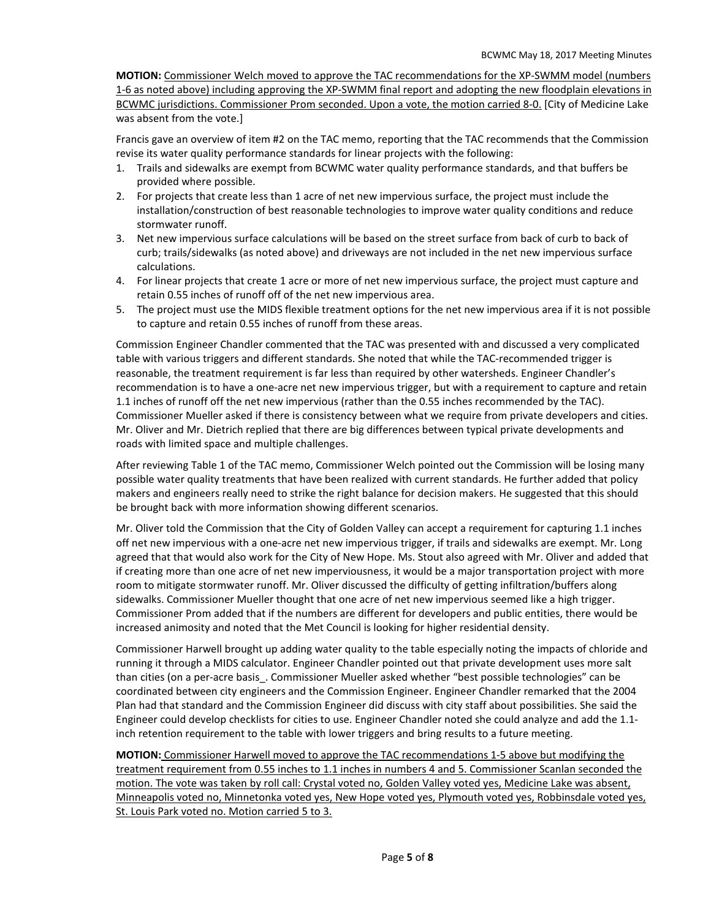**MOTION:** Commissioner Welch moved to approve the TAC recommendations for the XP-SWMM model (numbers 1-6 as noted above) including approving the XP-SWMM final report and adopting the new floodplain elevations in BCWMC jurisdictions. Commissioner Prom seconded. Upon a vote, the motion carried 8-0. [City of Medicine Lake was absent from the vote.]

Francis gave an overview of item #2 on the TAC memo, reporting that the TAC recommends that the Commission revise its water quality performance standards for linear projects with the following:

- 1. Trails and sidewalks are exempt from BCWMC water quality performance standards, and that buffers be provided where possible.
- 2. For projects that create less than 1 acre of net new impervious surface, the project must include the installation/construction of best reasonable technologies to improve water quality conditions and reduce stormwater runoff.
- 3. Net new impervious surface calculations will be based on the street surface from back of curb to back of curb; trails/sidewalks (as noted above) and driveways are not included in the net new impervious surface calculations.
- 4. For linear projects that create 1 acre or more of net new impervious surface, the project must capture and retain 0.55 inches of runoff off of the net new impervious area.
- 5. The project must use the MIDS flexible treatment options for the net new impervious area if it is not possible to capture and retain 0.55 inches of runoff from these areas.

Commission Engineer Chandler commented that the TAC was presented with and discussed a very complicated table with various triggers and different standards. She noted that while the TAC-recommended trigger is reasonable, the treatment requirement is far less than required by other watersheds. Engineer Chandler's recommendation is to have a one-acre net new impervious trigger, but with a requirement to capture and retain 1.1 inches of runoff off the net new impervious (rather than the 0.55 inches recommended by the TAC). Commissioner Mueller asked if there is consistency between what we require from private developers and cities. Mr. Oliver and Mr. Dietrich replied that there are big differences between typical private developments and roads with limited space and multiple challenges.

After reviewing Table 1 of the TAC memo, Commissioner Welch pointed out the Commission will be losing many possible water quality treatments that have been realized with current standards. He further added that policy makers and engineers really need to strike the right balance for decision makers. He suggested that this should be brought back with more information showing different scenarios.

Mr. Oliver told the Commission that the City of Golden Valley can accept a requirement for capturing 1.1 inches off net new impervious with a one-acre net new impervious trigger, if trails and sidewalks are exempt. Mr. Long agreed that that would also work for the City of New Hope. Ms. Stout also agreed with Mr. Oliver and added that if creating more than one acre of net new imperviousness, it would be a major transportation project with more room to mitigate stormwater runoff. Mr. Oliver discussed the difficulty of getting infiltration/buffers along sidewalks. Commissioner Mueller thought that one acre of net new impervious seemed like a high trigger. Commissioner Prom added that if the numbers are different for developers and public entities, there would be increased animosity and noted that the Met Council is looking for higher residential density.

Commissioner Harwell brought up adding water quality to the table especially noting the impacts of chloride and running it through a MIDS calculator. Engineer Chandler pointed out that private development uses more salt than cities (on a per-acre basis. Commissioner Mueller asked whether "best possible technologies" can be coordinated between city engineers and the Commission Engineer. Engineer Chandler remarked that the 2004 Plan had that standard and the Commission Engineer did discuss with city staff about possibilities. She said the Engineer could develop checklists for cities to use. Engineer Chandler noted she could analyze and add the 1.1 inch retention requirement to the table with lower triggers and bring results to a future meeting.

**MOTION:** Commissioner Harwell moved to approve the TAC recommendations 1-5 above but modifying the treatment requirement from 0.55 inches to 1.1 inches in numbers 4 and 5. Commissioner Scanlan seconded the motion. The vote was taken by roll call: Crystal voted no, Golden Valley voted yes, Medicine Lake was absent, Minneapolis voted no, Minnetonka voted yes, New Hope voted yes, Plymouth voted yes, Robbinsdale voted yes, St. Louis Park voted no. Motion carried 5 to 3.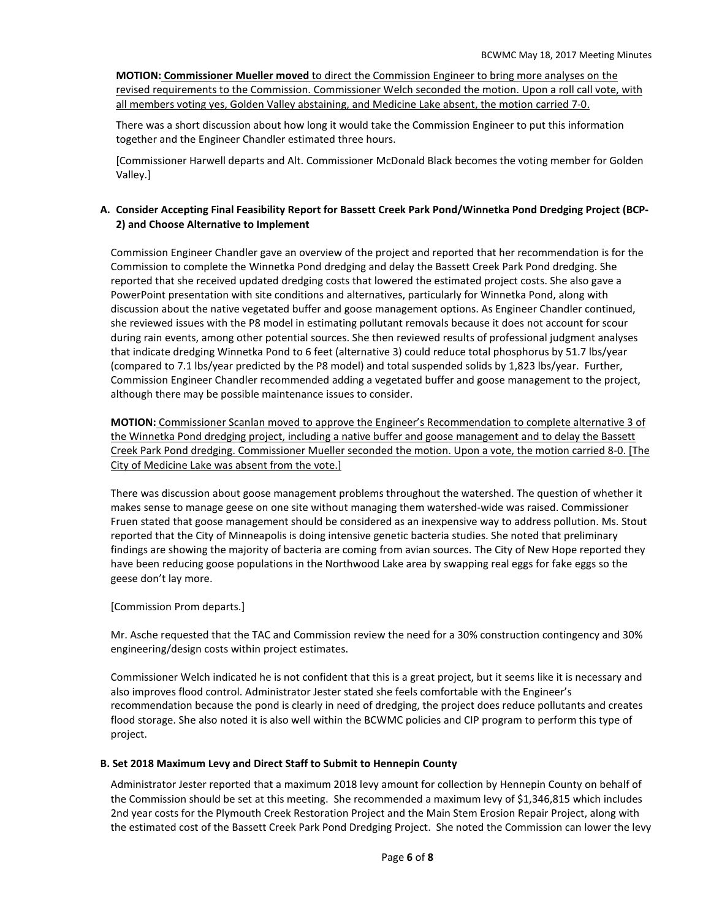**MOTION: Commissioner Mueller moved** to direct the Commission Engineer to bring more analyses on the revised requirements to the Commission. Commissioner Welch seconded the motion. Upon a roll call vote, with all members voting yes, Golden Valley abstaining, and Medicine Lake absent, the motion carried 7-0.

There was a short discussion about how long it would take the Commission Engineer to put this information together and the Engineer Chandler estimated three hours.

[Commissioner Harwell departs and Alt. Commissioner McDonald Black becomes the voting member for Golden Valley.]

## **A. Consider Accepting Final Feasibility Report for Bassett Creek Park Pond/Winnetka Pond Dredging Project (BCP-2) and Choose Alternative to Implement**

Commission Engineer Chandler gave an overview of the project and reported that her recommendation is for the Commission to complete the Winnetka Pond dredging and delay the Bassett Creek Park Pond dredging. She reported that she received updated dredging costs that lowered the estimated project costs. She also gave a PowerPoint presentation with site conditions and alternatives, particularly for Winnetka Pond, along with discussion about the native vegetated buffer and goose management options. As Engineer Chandler continued, she reviewed issues with the P8 model in estimating pollutant removals because it does not account for scour during rain events, among other potential sources. She then reviewed results of professional judgment analyses that indicate dredging Winnetka Pond to 6 feet (alternative 3) could reduce total phosphorus by 51.7 lbs/year (compared to 7.1 lbs/year predicted by the P8 model) and total suspended solids by 1,823 lbs/year. Further, Commission Engineer Chandler recommended adding a vegetated buffer and goose management to the project, although there may be possible maintenance issues to consider.

**MOTION:** Commissioner Scanlan moved to approve the Engineer's Recommendation to complete alternative 3 of the Winnetka Pond dredging project, including a native buffer and goose management and to delay the Bassett Creek Park Pond dredging. Commissioner Mueller seconded the motion. Upon a vote, the motion carried 8-0. [The City of Medicine Lake was absent from the vote.]

There was discussion about goose management problems throughout the watershed. The question of whether it makes sense to manage geese on one site without managing them watershed-wide was raised. Commissioner Fruen stated that goose management should be considered as an inexpensive way to address pollution. Ms. Stout reported that the City of Minneapolis is doing intensive genetic bacteria studies. She noted that preliminary findings are showing the majority of bacteria are coming from avian sources. The City of New Hope reported they have been reducing goose populations in the Northwood Lake area by swapping real eggs for fake eggs so the geese don't lay more.

#### [Commission Prom departs.]

Mr. Asche requested that the TAC and Commission review the need for a 30% construction contingency and 30% engineering/design costs within project estimates.

Commissioner Welch indicated he is not confident that this is a great project, but it seems like it is necessary and also improves flood control. Administrator Jester stated she feels comfortable with the Engineer's recommendation because the pond is clearly in need of dredging, the project does reduce pollutants and creates flood storage. She also noted it is also well within the BCWMC policies and CIP program to perform this type of project.

#### **B. Set 2018 Maximum Levy and Direct Staff to Submit to Hennepin County**

Administrator Jester reported that a maximum 2018 levy amount for collection by Hennepin County on behalf of the Commission should be set at this meeting. She recommended a maximum levy of \$1,346,815 which includes 2nd year costs for the Plymouth Creek Restoration Project and the Main Stem Erosion Repair Project, along with the estimated cost of the Bassett Creek Park Pond Dredging Project. She noted the Commission can lower the levy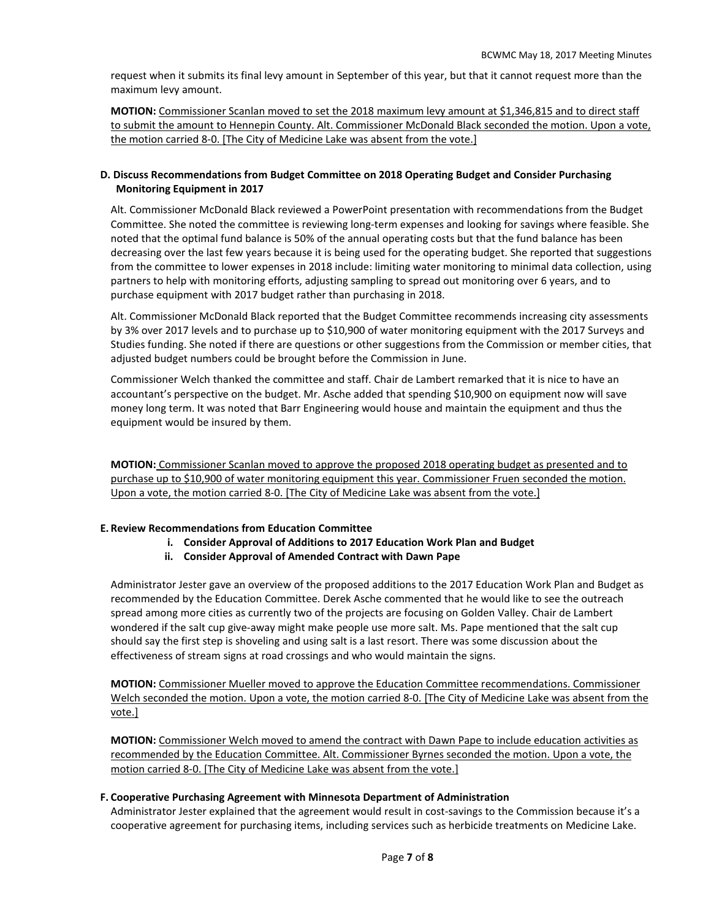request when it submits its final levy amount in September of this year, but that it cannot request more than the maximum levy amount.

**MOTION:** Commissioner Scanlan moved to set the 2018 maximum levy amount at \$1,346,815 and to direct staff to submit the amount to Hennepin County. Alt. Commissioner McDonald Black seconded the motion. Upon a vote, the motion carried 8-0. [The City of Medicine Lake was absent from the vote.]

## **D. Discuss Recommendations from Budget Committee on 2018 Operating Budget and Consider Purchasing Monitoring Equipment in 2017**

Alt. Commissioner McDonald Black reviewed a PowerPoint presentation with recommendations from the Budget Committee. She noted the committee is reviewing long-term expenses and looking for savings where feasible. She noted that the optimal fund balance is 50% of the annual operating costs but that the fund balance has been decreasing over the last few years because it is being used for the operating budget. She reported that suggestions from the committee to lower expenses in 2018 include: limiting water monitoring to minimal data collection, using partners to help with monitoring efforts, adjusting sampling to spread out monitoring over 6 years, and to purchase equipment with 2017 budget rather than purchasing in 2018.

Alt. Commissioner McDonald Black reported that the Budget Committee recommends increasing city assessments by 3% over 2017 levels and to purchase up to \$10,900 of water monitoring equipment with the 2017 Surveys and Studies funding. She noted if there are questions or other suggestions from the Commission or member cities, that adjusted budget numbers could be brought before the Commission in June.

Commissioner Welch thanked the committee and staff. Chair de Lambert remarked that it is nice to have an accountant's perspective on the budget. Mr. Asche added that spending \$10,900 on equipment now will save money long term. It was noted that Barr Engineering would house and maintain the equipment and thus the equipment would be insured by them.

**MOTION:** Commissioner Scanlan moved to approve the proposed 2018 operating budget as presented and to purchase up to \$10,900 of water monitoring equipment this year. Commissioner Fruen seconded the motion. Upon a vote, the motion carried 8-0. [The City of Medicine Lake was absent from the vote.]

## **E. Review Recommendations from Education Committee**

- **i. Consider Approval of Additions to 2017 Education Work Plan and Budget**
- **ii. Consider Approval of Amended Contract with Dawn Pape**

Administrator Jester gave an overview of the proposed additions to the 2017 Education Work Plan and Budget as recommended by the Education Committee. Derek Asche commented that he would like to see the outreach spread among more cities as currently two of the projects are focusing on Golden Valley. Chair de Lambert wondered if the salt cup give-away might make people use more salt. Ms. Pape mentioned that the salt cup should say the first step is shoveling and using salt is a last resort. There was some discussion about the effectiveness of stream signs at road crossings and who would maintain the signs.

**MOTION:** Commissioner Mueller moved to approve the Education Committee recommendations. Commissioner Welch seconded the motion. Upon a vote, the motion carried 8-0. [The City of Medicine Lake was absent from the vote.]

**MOTION:** Commissioner Welch moved to amend the contract with Dawn Pape to include education activities as recommended by the Education Committee. Alt. Commissioner Byrnes seconded the motion. Upon a vote, the motion carried 8-0. [The City of Medicine Lake was absent from the vote.]

### **F. Cooperative Purchasing Agreement with Minnesota Department of Administration**

Administrator Jester explained that the agreement would result in cost-savings to the Commission because it's a cooperative agreement for purchasing items, including services such as herbicide treatments on Medicine Lake.